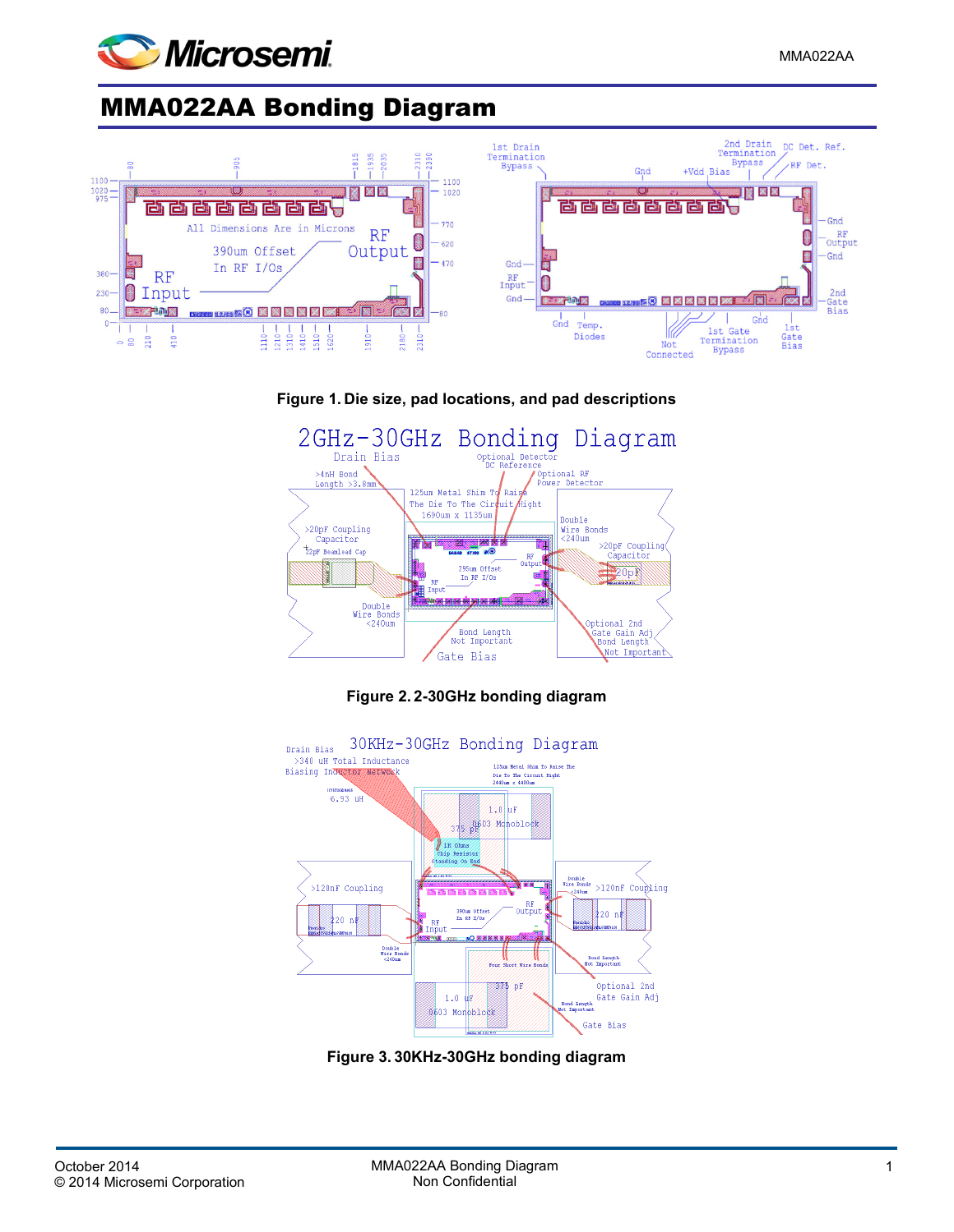

## MMA022AA Bonding Diagram







**Figure 2. 2-30GHz bonding diagram**



**Figure 3. 30KHz-30GHz bonding diagram**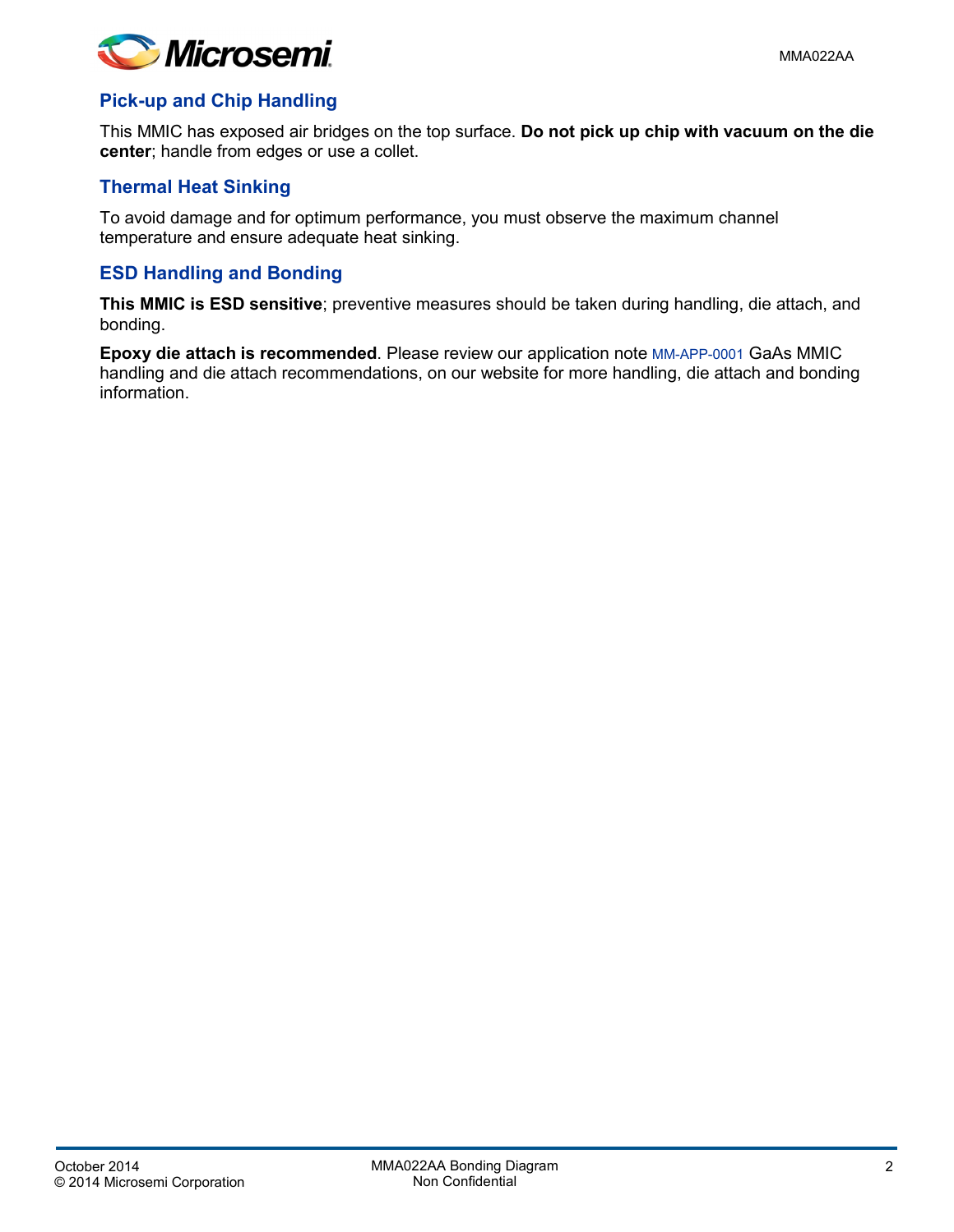

## **Pick-up and Chip Handling**

This MMIC has exposed air bridges on the top surface. **Do not pick up chip with vacuum on the die center**; handle from edges or use a collet.

## **Thermal Heat Sinking**

To avoid damage and for optimum performance, you must observe the maximum channel temperature and ensure adequate heat sinking.

## **ESD Handling and Bonding**

**This MMIC is ESD sensitive**; preventive measures should be taken during handling, die attach, and bonding.

**Epoxy die attach is recommended**. Please review our application note [MM-APP-0001](http://www.microsemi.com/document-portal/doc_download/133886-mm-app-0001-die-handling-application-note) GaAs MMIC handling and die attach recommendations, on our website for more handling, die attach and bonding information.